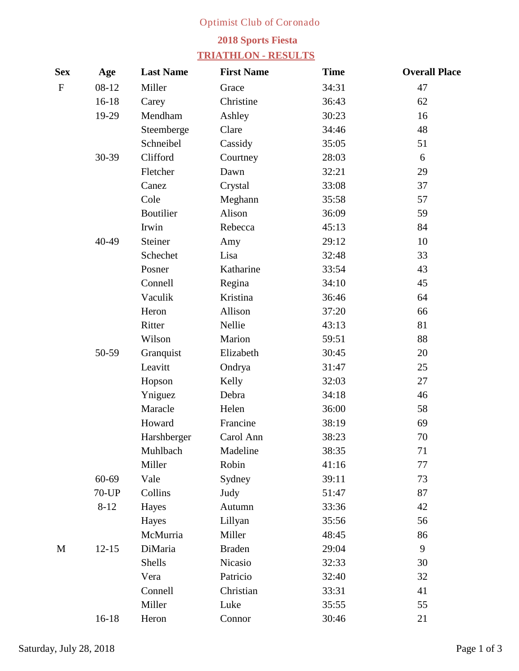## **Optimist Club of Coronado**

## **2018 Sports Fiesta**

## **TRIATHLON - RESULTS**

| <b>Sex</b>  | Age       | <b>Last Name</b>   | <b>First Name</b> | <b>Time</b> | <b>Overall Place</b> |
|-------------|-----------|--------------------|-------------------|-------------|----------------------|
| $\mathbf F$ | $08-12$   | <b>Miller</b>      | <b>Grace</b>      | 34:31       | 47                   |
|             | $16 - 18$ | <b>Carey</b>       | <b>Christine</b>  | 36:43       | 62                   |
|             | $19-29$   | <b>Mendham</b>     | <b>Ashley</b>     | 30:23       | 16                   |
|             |           | <b>Steemberge</b>  | <b>Clare</b>      | 34:46       | 48                   |
|             |           | <b>Schneibel</b>   | <b>Cassidy</b>    | 35:05       | 51                   |
|             | 30-39     | <b>Clifford</b>    | Courtney          | 28:03       | 6                    |
|             |           | <b>Fletcher</b>    | <b>Dawn</b>       | 32:21       | 29                   |
|             |           | <b>Canez</b>       | <b>Crystal</b>    | 33:08       | 37                   |
|             |           | <b>Cole</b>        | <b>Meghann</b>    | 35:58       | 57                   |
|             |           | <b>Boutilier</b>   | <b>Alison</b>     | 36:09       | 59                   |
|             |           | <b>Irwin</b>       | <b>Rebecca</b>    | 45:13       | 84                   |
|             | 40-49     | <b>Steiner</b>     | Amy               | 29:12       | 10                   |
|             |           | <b>Schechet</b>    | Lisa              | 32:48       | 33                   |
|             |           | <b>Posner</b>      | <b>Katharine</b>  | 33:54       | 43                   |
|             |           | <b>Connell</b>     | Regina            | 34:10       | 45                   |
|             |           | <b>Vaculik</b>     | <b>Kristina</b>   | 36:46       | 64                   |
|             |           | <b>Heron</b>       | <b>Allison</b>    | 37:20       | 66                   |
|             |           | <b>Ritter</b>      | <b>Nellie</b>     | 43:13       | 81                   |
|             |           | <b>Wilson</b>      | <b>Marion</b>     | 59:51       | 88                   |
|             | 50-59     | <b>Granquist</b>   | <b>Elizabeth</b>  | 30:45       | 20                   |
|             |           | Leavitt            | Ondrya            | 31:47       | 25                   |
|             |           | Hopson             | <b>Kelly</b>      | 32:03       | 27                   |
|             |           | Yniguez            | <b>Debra</b>      | 34:18       | 46                   |
|             |           | <b>Maracle</b>     | Helen             | 36:00       | 58                   |
|             |           | <b>Howard</b>      | <b>Francine</b>   | 38:19       | 69                   |
|             |           | <b>Harshberger</b> | <b>Carol Ann</b>  | 38:23       | 70                   |
|             |           | <b>Muhlbach</b>    | <b>Madeline</b>   | 38:35       | 71                   |
|             |           | <b>Miller</b>      | <b>Robin</b>      | 41:16       | 77                   |
|             | 60-69     | Vale               | <b>Sydney</b>     | 39:11       | 73                   |
|             | $70$ -UP  | <b>Collins</b>     | <b>Judy</b>       | 51:47       | 87                   |
|             | $8-12$    | <b>Hayes</b>       | <b>Autumn</b>     | 33:36       | 42                   |
|             |           | <b>Hayes</b>       | Lillyan           | 35:56       | 56                   |
|             |           | <b>McMurria</b>    | <b>Miller</b>     | 48:45       | 86                   |
| $\mathbf M$ | $12 - 15$ | <b>DiMaria</b>     | <b>Braden</b>     | 29:04       | $\boldsymbol{9}$     |
|             |           | <b>Shells</b>      | <b>Nicasio</b>    | 32:33       | 30                   |
|             |           | <b>Vera</b>        | Patricio          | 32:40       | 32                   |
|             |           | <b>Connell</b>     | <b>Christian</b>  | 33:31       | 41                   |
|             |           | <b>Miller</b>      | Luke              | 35:55       | 55                   |
|             | $16 - 18$ | Heron              | <b>Connor</b>     | 30:46       | 21                   |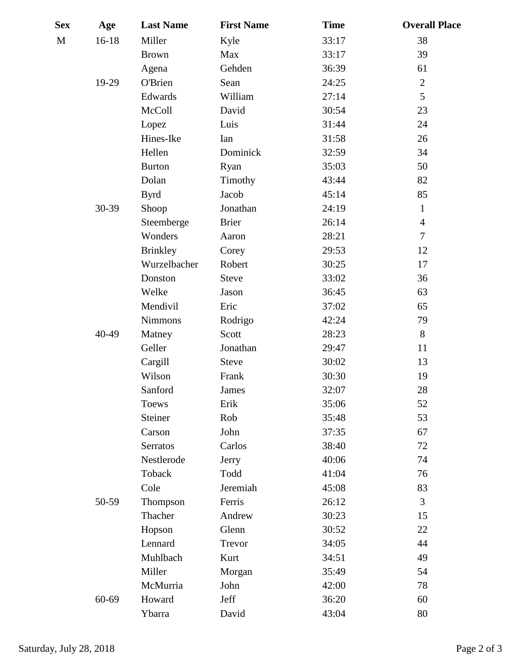| <b>Sex</b>   | Age       | <b>Last Name</b>  | <b>First Name</b> | <b>Time</b> | <b>Overall Place</b>    |
|--------------|-----------|-------------------|-------------------|-------------|-------------------------|
| $\mathbf{M}$ | $16 - 18$ | <b>Miller</b>     | <b>Kyle</b>       | 33:17       | 38                      |
|              |           | <b>Brown</b>      | <b>Max</b>        | 33:17       | 39                      |
|              |           | <b>Agena</b>      | <b>Gehden</b>     | 36:39       | 61                      |
|              | 19-29     | <b>O'Brien</b>    | <b>Sean</b>       | 24:25       | $\boldsymbol{2}$        |
|              |           | <b>Edwards</b>    | <b>William</b>    | 27:14       | 5                       |
|              |           | <b>McColl</b>     | <b>David</b>      | 30:54       | 23                      |
|              |           | Lopez             | Luis              | 31:44       | 24                      |
|              |           | <b>Hines-Ike</b>  | <b>Ian</b>        | 31:58       | 26                      |
|              |           | <b>Hellen</b>     | <b>Dominick</b>   | 32:59       | 34                      |
|              |           | <b>Burton</b>     | <b>Ryan</b>       | 35:03       | 50                      |
|              |           | <b>Dolan</b>      | <b>Timothy</b>    | 43:44       | 82                      |
|              |           | <b>Byrd</b>       | <b>Jacob</b>      | 45:14       | 85                      |
|              | 30-39     | <b>Shoop</b>      | <b>Jonathan</b>   | 24:19       | $\mathbf{1}$            |
|              |           | <b>Steemberge</b> | <b>Brier</b>      | 26:14       | $\overline{\mathbf{4}}$ |
|              |           | <b>Wonders</b>    | <b>Aaron</b>      | 28:21       | $\overline{7}$          |
|              |           | <b>Brinkley</b>   | <b>Corey</b>      | 29:53       | 12                      |
|              |           | Wurzelbacher      | <b>Robert</b>     | 30:25       | 17                      |
|              |           | <b>Donston</b>    | <b>Steve</b>      | 33:02       | 36                      |
|              |           | <b>Welke</b>      | <b>Jason</b>      | 36:45       | 63                      |
|              |           | <b>Mendivil</b>   | Eric              | 37:02       | 65                      |
|              |           | <b>Nimmons</b>    | Rodrigo           | 42:24       | 79                      |
|              | 40-49     | <b>Matney</b>     | <b>Scott</b>      | 28:23       | 8                       |
|              |           | <b>Geller</b>     | <b>Jonathan</b>   | 29:47       | 11                      |
|              |           | Cargill           | <b>Steve</b>      | 30:02       | 13                      |
|              |           | <b>Wilson</b>     | <b>Frank</b>      | 30:30       | 19                      |
|              |           | <b>Sanford</b>    | <b>James</b>      | 32:07       | 28                      |
|              |           | <b>Toews</b>      | Erik              | 35:06       | 52                      |
|              |           | <b>Steiner</b>    | Rob               | 35:48       | 53                      |
|              |           | <b>Carson</b>     | <b>John</b>       | 37:35       | 67                      |
|              |           | <b>Serratos</b>   | <b>Carlos</b>     | 38:40       | 72                      |
|              |           | <b>Nestlerode</b> | <b>Jerry</b>      | 40:06       | 74                      |
|              |           | <b>Toback</b>     | <b>Todd</b>       | 41:04       | 76                      |
|              |           | <b>Cole</b>       | <b>Jeremiah</b>   | 45:08       | 83                      |
|              | 50-59     | <b>Thompson</b>   | Ferris            | 26:12       | $\mathbf{3}$            |
|              |           | <b>Thacher</b>    | <b>Andrew</b>     | 30:23       | 15                      |
|              |           | Hopson            | <b>Glenn</b>      | 30:52       | 22                      |
|              |           | <b>Lennard</b>    | <b>Trevor</b>     | 34:05       | 44                      |
|              |           | <b>Muhlbach</b>   | Kurt              | 34:51       | 49                      |
|              |           | <b>Miller</b>     | <b>Morgan</b>     | 35:49       | 54                      |
|              |           | <b>McMurria</b>   | John              | 42:00       | 78                      |
|              | 60-69     | <b>Howard</b>     | <b>Jeff</b>       | 36:20       | 60                      |
|              |           | Ybarra            | <b>David</b>      | 43:04       | 80                      |